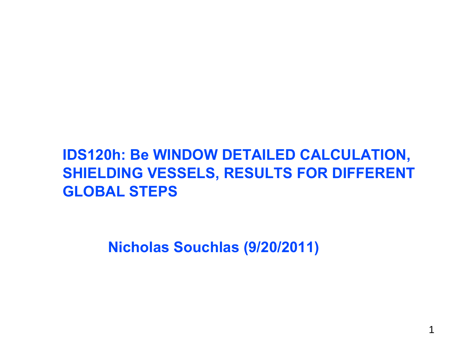# **IDS120h: Be WINDOW DETAILED CALCULATION, SHIELDING VESSELS, RESULTS FOR DIFFERENT GLOBAL STEPS**

**Nicholas Souchlas (9/20/2011)**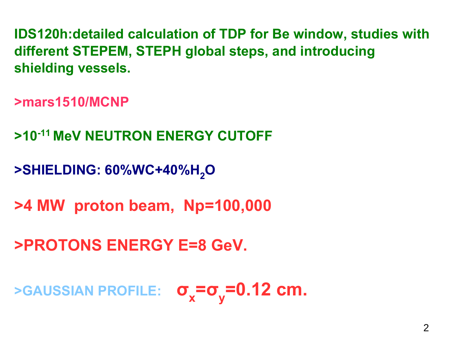**IDS120h:detailed calculation of TDP for Be window, studies with different STEPEM, STEPH global steps, and introducing shielding vessels.**

**>mars1510/MCNP**

**>10-11 MeV NEUTRON ENERGY CUTOFF**

**>SHIELDING: 60%WC+40%H 2O**

**>4 MW proton beam, Np=100,000**

**>PROTONS ENERGY E=8 GeV.**

**>GAUSSIAN PROFILE: σ x= σ <sup>y</sup>=0.12 cm.**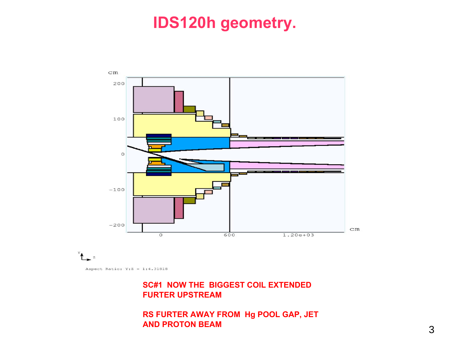# **IDS120h geometry.**



Aspect Ratio:  $Y:Z = 1:4.31818$ 

#### **SC#1 NOW THE BIGGEST COIL EXTENDED FURTER UPSTREAM**

**RS FURTER AWAY FROM Hg POOL GAP, JET AND PROTON BEAM**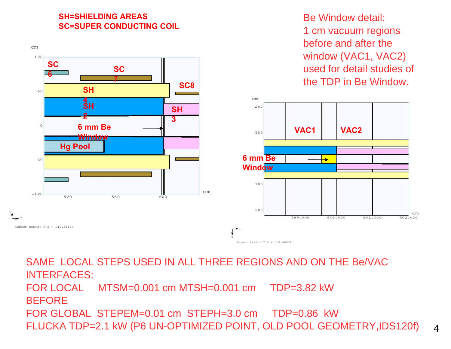#### **SH=SHIELDING AREASSC=SUPER CONDUCTING COIL**



Be Window detail:1 cm vacuum regions before and after the window (VAC1, VAC2) used for detail studies of the TDP in Be Window.



SAME LOCAL STEPS USED IN ALL THREE REGIONS AND ON THE Be/VAC INTERFACES: FOR LOCAL MTSM=0.001 cm MTSH=0.001 cm TDP=3.82 kW**BEFORE** FOR GLOBAL STEPEM=0.01 cm STEPH=3.0 cm TDP=0.86 kW FLUCKA TDP=2.1 kW (P6 UN-OPTIMIZED POINT, OLD POOL GEOMETRY,IDS120f)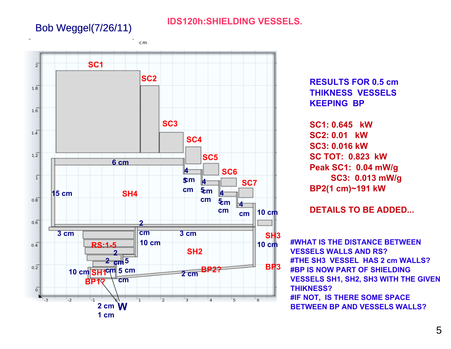## Bob Weggel(7/26/11)

### **IDS120h:SHIELDING VESSELS.**

**SC1** $\overline{2}$ **SC2** $1.\overline{8}$  $1.\overline{6}$ **SC3** $1.\bar{4}$ **SC4** $1.\overline{2}$ **SC56 cm4 SC6** $\overline{1}$ **cm 4 5 SC7cmcm 4 5 15 cmSH4cm** $0.\overline{8}$ **5 cm4 cm10 cmcm** $0.\bar{6}$ **2 cm3 cm3 cmSH310 cm10 cmRS:1-5** $0.4$ **SH22 2 cm5 BP3**  $0.2$ **BP2?10 cm 5 cm cm SH1 2 cm BP1?cm** $\overline{0}$  $\overline{2}$  $\overline{1}$  $\overline{1}$  $\overline{2}$  $\overline{\overline{\overline{3}}}$  $\overline{5}$  $\overline{a}$  $6$ - 3 **W2 cm1 cm**

cm.

**RESULTS FOR 0.5 cm THIKNESS VESSELS KEEPING BP** 

**SC1: 0.645 kW SC2: 0.01 kWSC3: 0.016 kWSC TOT: 0.823 kWPeak SC1: 0.04 mW/g SC3: 0.013 mW/g BP2(1 cm)~191 kW**

**DETAILS TO BE ADDED...**

**#WHAT IS THE DISTANCE BETWEEN VESSELS WALLS AND RS?#THE SH3 VESSEL HAS 2 cm WALLS?#BP IS NOW PART OF SHIELDING VESSELS SH1, SH2, SH3 WITH THE GIVEN THIKNESS?#IF NOT, IS THERE SOME SPACE BETWEEN BP AND VESSELS WALLS?**